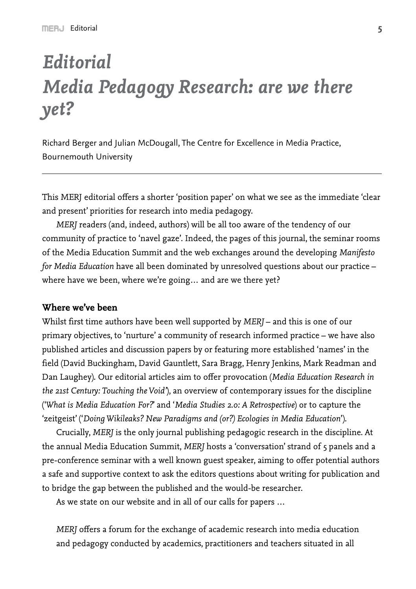# *Editorial Media Pedagogy Research: are we there yet?*

Richard Berger and Julian McDougall, The Centre for Excellence in Media Practice, Bournemouth University

This MERJ editorial offers a shorter 'position paper' on what we see as the immediate 'clear and present' priorities for research into media pedagogy.

*MERJ* readers (and, indeed, authors) will be all too aware of the tendency of our community of practice to 'navel gaze'. Indeed, the pages of this journal, the seminar rooms of the Media Education Summit and the web exchanges around the developing *Manifesto for Media Education* have all been dominated by unresolved questions about our practice – where have we been, where we're going… and are we there yet?

## **Where we've been**

Whilst first time authors have been well supported by *MERJ* – and this is one of our primary objectives, to 'nurture' a community of research informed practice – we have also published articles and discussion papers by or featuring more established 'names' in the field (David Buckingham, David Gauntlett, Sara Bragg, Henry Jenkins, Mark Readman and Dan Laughey). Our editorial articles aim to offer provocation (*Media Education Research in the 21st Century: Touching the Void'*), an overview of contemporary issues for the discipline ('*What is Media Education For?*' and '*Media Studies 2.0: A Retrospective*) or to capture the 'zeitgeist' ('*Doing Wikileaks? New Paradigms and (or?) Ecologies in Media Education*').

Crucially, *MERJ* is the only journal publishing pedagogic research in the discipline. At the annual Media Education Summit, *MERJ* hosts a 'conversation' strand of 5 panels and a pre-conference seminar with a well known guest speaker, aiming to offer potential authors a safe and supportive context to ask the editors questions about writing for publication and to bridge the gap between the published and the would-be researcher.

As we state on our website and in all of our calls for papers …

*MERJ* offers a forum for the exchange of academic research into media education and pedagogy conducted by academics, practitioners and teachers situated in all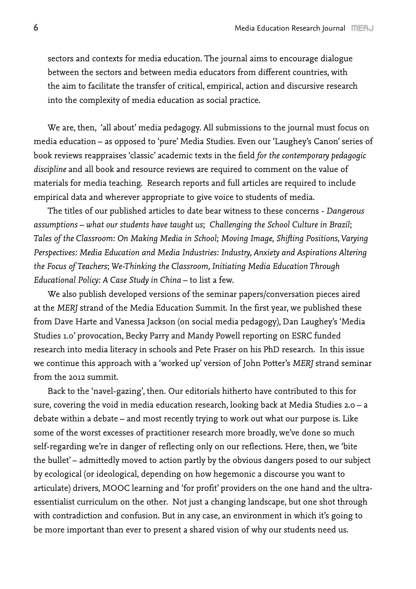sectors and contexts for media education. The journal aims to encourage dialogue between the sectors and between media educators from different countries, with the aim to facilitate the transfer of critical, empirical, action and discursive research into the complexity of media education as social practice.

We are, then, 'all about' media pedagogy. All submissions to the journal must focus on media education – as opposed to 'pure' Media Studies. Even our 'Laughey's Canon' series of book reviews reappraises 'classic' academic texts in the field *for the contemporary pedagogic discipline* and all book and resource reviews are required to comment on the value of materials for media teaching. Research reports and full articles are required to include empirical data and wherever appropriate to give voice to students of media.

The titles of our published articles to date bear witness to these concerns - *Dangerous assumptions – what our students have taught us*; *Challenging the School Culture in Brazil*; *Tales of the Classroom: On Making Media in School*; *Moving Image, Shifting Positions, Varying Perspectives: Media Education and Media Industries: Industry, Anxiety and Aspirations Altering the Focus of Teachers*; *We-Thinking the Classroom, Initiating Media Education Through Educational Policy: A Case Study in China* – to list a few.

We also publish developed versions of the seminar papers/conversation pieces aired at the *MERJ* strand of the Media Education Summit. In the first year, we published these from Dave Harte and Vanessa Jackson (on social media pedagogy), Dan Laughey's 'Media Studies 1.0' provocation, Becky Parry and Mandy Powell reporting on ESRC funded research into media literacy in schools and Pete Fraser on his PhD research. In this issue we continue this approach with a 'worked up' version of John Potter's *MERJ* strand seminar from the 2012 summit.

Back to the 'navel-gazing', then. Our editorials hitherto have contributed to this for sure, covering the void in media education research, looking back at Media Studies 2.0 – a debate within a debate – and most recently trying to work out what our purpose is. Like some of the worst excesses of practitioner research more broadly, we've done so much self-regarding we're in danger of reflecting only on our reflections. Here, then, we 'bite the bullet' – admittedly moved to action partly by the obvious dangers posed to our subject by ecological (or ideological, depending on how hegemonic a discourse you want to articulate) drivers, MOOC learning and 'for profit' providers on the one hand and the ultraessentialist curriculum on the other. Not just a changing landscape, but one shot through with contradiction and confusion. But in any case, an environment in which it's going to be more important than ever to present a shared vision of why our students need us.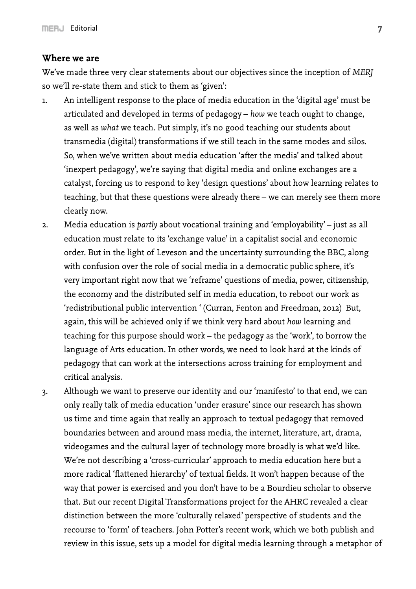### **Where we are**

We've made three very clear statements about our objectives since the inception of *MERJ* so we'll re-state them and stick to them as 'given':

- 1. An intelligent response to the place of media education in the 'digital age' must be articulated and developed in terms of pedagogy – *how* we teach ought to change, as well as *what* we teach. Put simply, it's no good teaching our students about transmedia (digital) transformations if we still teach in the same modes and silos. So, when we've written about media education 'after the media' and talked about 'inexpert pedagogy', we're saying that digital media and online exchanges are a catalyst, forcing us to respond to key 'design questions' about how learning relates to teaching, but that these questions were already there – we can merely see them more clearly now.
- 2. Media education is *partly* about vocational training and 'employability' just as all education must relate to its 'exchange value' in a capitalist social and economic order. But in the light of Leveson and the uncertainty surrounding the BBC, along with confusion over the role of social media in a democratic public sphere, it's very important right now that we 'reframe' questions of media, power, citizenship, the economy and the distributed self in media education, to reboot our work as 'redistributional public intervention ' (Curran, Fenton and Freedman, 2012) But, again, this will be achieved only if we think very hard about *how* learning and teaching for this purpose should work – the pedagogy as the 'work', to borrow the language of Arts education. In other words, we need to look hard at the kinds of pedagogy that can work at the intersections across training for employment and critical analysis.

3. Although we want to preserve our identity and our 'manifesto' to that end, we can only really talk of media education 'under erasure' since our research has shown us time and time again that really an approach to textual pedagogy that removed boundaries between and around mass media, the internet, literature, art, drama, videogames and the cultural layer of technology more broadly is what we'd like. We're not describing a 'cross-curricular' approach to media education here but a more radical 'flattened hierarchy' of textual fields. It won't happen because of the way that power is exercised and you don't have to be a Bourdieu scholar to observe that. But our recent Digital Transformations project for the AHRC revealed a clear distinction between the more 'culturally relaxed' perspective of students and the recourse to 'form' of teachers. John Potter's recent work, which we both publish and review in this issue, sets up a model for digital media learning through a metaphor of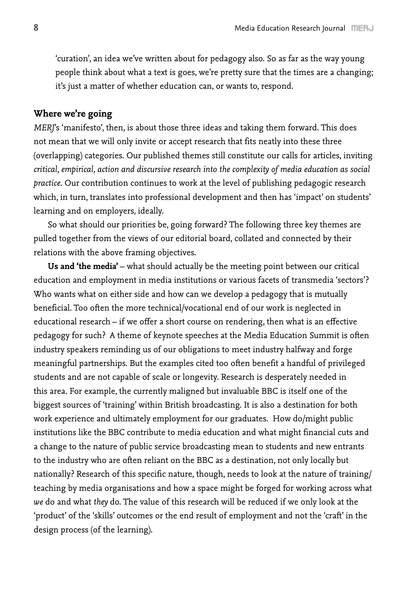'curation', an idea we've written about for pedagogy also. So as far as the way young people think about what a text is goes, we're pretty sure that the times are a changing; it's just a matter of whether education can, or wants to, respond.

#### **Where we're going**

*MERJ*'s 'manifesto', then, is about those three ideas and taking them forward. This does not mean that we will only invite or accept research that fits neatly into these three (overlapping) categories. Our published themes still constitute our calls for articles, inviting *critical, empirical, action and discursive research into the complexity of media education as social practice*. Our contribution continues to work at the level of publishing pedagogic research which, in turn, translates into professional development and then has 'impact' on students' learning and on employers, ideally.

So what should our priorities be, going forward? The following three key themes are pulled together from the views of our editorial board, collated and connected by their relations with the above framing objectives.

**Us and 'the media'** – what should actually be the meeting point between our critical education and employment in media institutions or various facets of transmedia 'sectors'? Who wants what on either side and how can we develop a pedagogy that is mutually beneficial. Too often the more technical/vocational end of our work is neglected in educational research – if we offer a short course on rendering, then what is an effective pedagogy for such? A theme of keynote speeches at the Media Education Summit is often industry speakers reminding us of our obligations to meet industry halfway and forge meaningful partnerships. But the examples cited too often benefit a handful of privileged students and are not capable of scale or longevity. Research is desperately needed in this area. For example, the currently maligned but invaluable BBC is itself one of the biggest sources of 'training' within British broadcasting. It is also a destination for both work experience and ultimately employment for our graduates. How do/might public institutions like the BBC contribute to media education and what might financial cuts and a change to the nature of public service broadcasting mean to students and new entrants to the industry who are often reliant on the BBC as a destination, not only locally but nationally? Research of this specific nature, though, needs to look at the nature of training/ teaching by media organisations and how a space might be forged for working across what *we* do and what *they* do. The value of this research will be reduced if we only look at the 'product' of the 'skills' outcomes or the end result of employment and not the 'craft' in the design process (of the learning).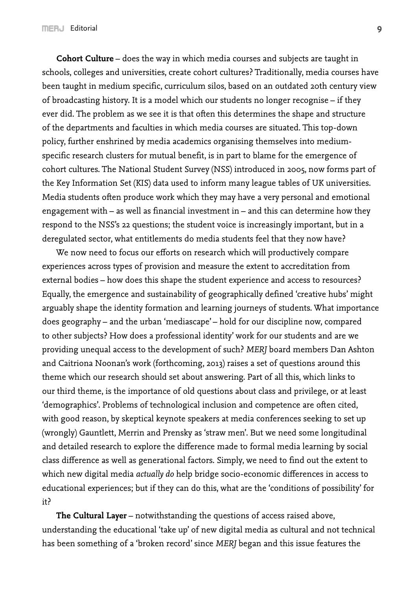**Cohort Culture** – does the way in which media courses and subjects are taught in schools, colleges and universities, create cohort cultures? Traditionally, media courses have been taught in medium specific, curriculum silos, based on an outdated 20th century view of broadcasting history. It is a model which our students no longer recognise – if they ever did. The problem as we see it is that often this determines the shape and structure of the departments and faculties in which media courses are situated. This top-down policy, further enshrined by media academics organising themselves into mediumspecific research clusters for mutual benefit, is in part to blame for the emergence of cohort cultures. The National Student Survey (NSS) introduced in 2005, now forms part of the Key Information Set (KIS) data used to inform many league tables of UK universities. Media students often produce work which they may have a very personal and emotional engagement with – as well as financial investment in – and this can determine how they respond to the NSS's 22 questions; the student voice is increasingly important, but in a deregulated sector, what entitlements do media students feel that they now have?

We now need to focus our efforts on research which will productively compare experiences across types of provision and measure the extent to accreditation from external bodies – how does this shape the student experience and access to resources? Equally, the emergence and sustainability of geographically defined 'creative hubs' might arguably shape the identity formation and learning journeys of students. What importance does geography – and the urban 'mediascape' – hold for our discipline now, compared to other subjects? How does a professional identity' work for our students and are we providing unequal access to the development of such? *MERJ* board members Dan Ashton and Caitriona Noonan's work (forthcoming, 2013) raises a set of questions around this theme which our research should set about answering. Part of all this, which links to our third theme, is the importance of old questions about class and privilege, or at least 'demographics'. Problems of technological inclusion and competence are often cited, with good reason, by skeptical keynote speakers at media conferences seeking to set up (wrongly) Gauntlett, Merrin and Prensky as 'straw men'. But we need some longitudinal and detailed research to explore the difference made to formal media learning by social class difference as well as generational factors. Simply, we need to find out the extent to which new digital media *actually do* help bridge socio-economic differences in access to educational experiences; but if they can do this, what are the 'conditions of possibility' for it?

**The Cultural Layer** – notwithstanding the questions of access raised above, understanding the educational 'take up' of new digital media as cultural and not technical has been something of a 'broken record' since *MERJ* began and this issue features the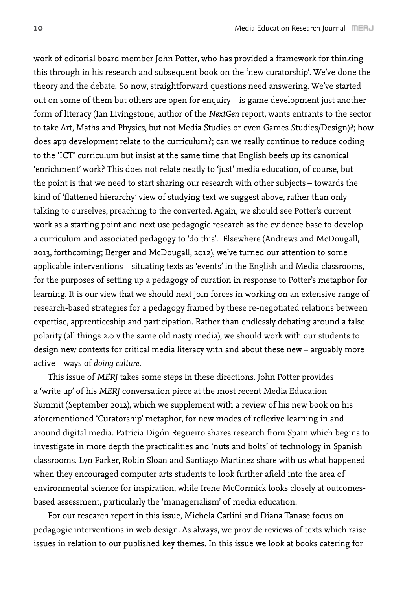work of editorial board member John Potter, who has provided a framework for thinking this through in his research and subsequent book on the 'new curatorship'. We've done the theory and the debate. So now, straightforward questions need answering. We've started out on some of them but others are open for enquiry – is game development just another form of literacy (Ian Livingstone, author of the *NextGen* report, wants entrants to the sector to take Art, Maths and Physics, but not Media Studies or even Games Studies/Design)?; how does app development relate to the curriculum?; can we really continue to reduce coding to the 'ICT' curriculum but insist at the same time that English beefs up its canonical 'enrichment' work? This does not relate neatly to 'just' media education, of course, but the point is that we need to start sharing our research with other subjects – towards the kind of 'flattened hierarchy' view of studying text we suggest above, rather than only talking to ourselves, preaching to the converted. Again, we should see Potter's current work as a starting point and next use pedagogic research as the evidence base to develop a curriculum and associated pedagogy to 'do this'. Elsewhere (Andrews and McDougall, 2013, forthcoming; Berger and McDougall, 2012), we've turned our attention to some applicable interventions – situating texts as 'events' in the English and Media classrooms, for the purposes of setting up a pedagogy of curation in response to Potter's metaphor for learning. It is our view that we should next join forces in working on an extensive range of research-based strategies for a pedagogy framed by these re-negotiated relations between expertise, apprenticeship and participation. Rather than endlessly debating around a false polarity (all things 2.0 v the same old nasty media), we should work with our students to design new contexts for critical media literacy with and about these new – arguably more active – ways of *doing culture*.

This issue of *MERJ* takes some steps in these directions. John Potter provides a 'write up' of his *MERJ* conversation piece at the most recent Media Education Summit (September 2012), which we supplement with a review of his new book on his aforementioned 'Curatorship' metaphor, for new modes of reflexive learning in and around digital media. Patricia Digón Regueiro shares research from Spain which begins to investigate in more depth the practicalities and 'nuts and bolts' of technology in Spanish classrooms. Lyn Parker, Robin Sloan and Santiago Martinez share with us what happened when they encouraged computer arts students to look further afield into the area of environmental science for inspiration, while Irene McCormick looks closely at outcomesbased assessment, particularly the 'managerialism' of media education.

For our research report in this issue, Michela Carlini and Diana Tanase focus on pedagogic interventions in web design. As always, we provide reviews of texts which raise issues in relation to our published key themes. In this issue we look at books catering for